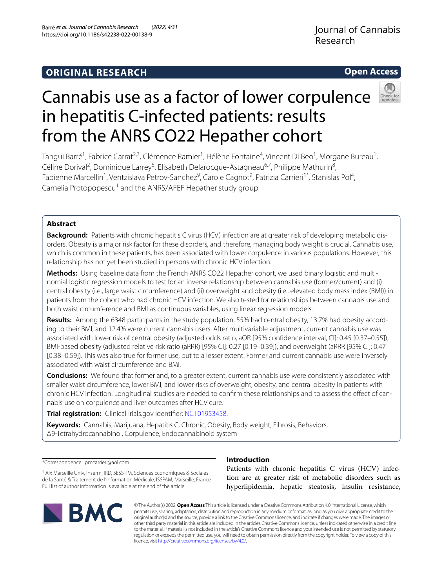## **Open Access**



# Cannabis use as a factor of lower corpulence in hepatitis C-infected patients: results from the ANRS CO22 Hepather cohort

Tangui Barré<sup>1</sup>, Fabrice Carrat<sup>2,3</sup>, Clémence Ramier<sup>1</sup>, Hélène Fontaine<sup>4</sup>, Vincent Di Beo<sup>1</sup>, Morgane Bureau<sup>1</sup>, Céline Dorival<sup>2</sup>, Dominique Larrey<sup>5</sup>, Elisabeth Delarocque-Astagneau<sup>6,7</sup>, Philippe Mathurin<sup>8</sup>, Fabienne Marcellin<sup>1</sup>, Ventzislava Petrov-Sanchez<sup>9</sup>, Carole Cagnot<sup>9</sup>, Patrizia Carrieri<sup>1\*</sup>, Stanislas Pol<sup>4</sup>, Camelia Protopopescu<sup>1</sup> and the ANRS/AFEF Hepather study group

## **Abstract**

Background: Patients with chronic hepatitis C virus (HCV) infection are at greater risk of developing metabolic disorders. Obesity is a major risk factor for these disorders, and therefore, managing body weight is crucial. Cannabis use, which is common in these patients, has been associated with lower corpulence in various populations. However, this relationship has not yet been studied in persons with chronic HCV infection.

Methods: Using baseline data from the French ANRS CO22 Hepather cohort, we used binary logistic and multinomial logistic regression models to test for an inverse relationship between cannabis use (former/current) and (i) central obesity (i.e., large waist circumference) and (ii) overweight and obesity (i.e., elevated body mass index (BMI)) in patients from the cohort who had chronic HCV infection. We also tested for relationships between cannabis use and both waist circumference and BMI as continuous variables, using linear regression models.

Results: Among the 6348 participants in the study population, 55% had central obesity, 13.7% had obesity according to their BMI, and 12.4% were current cannabis users. After multivariable adjustment, current cannabis use was associated with lower risk of central obesity (adjusted odds ratio, aOR [95% confdence interval, CI]: 0.45 [0.37–0.55]), BMI-based obesity (adjusted relative risk ratio (aRRR) [95% CI]: 0.27 [0.19–0.39]), and overweight (aRRR [95% CI]: 0.47 [0.38–0.59]). This was also true for former use, but to a lesser extent. Former and current cannabis use were inversely associated with waist circumference and BMI.

**Conclusions:** We found that former and, to a greater extent, current cannabis use were consistently associated with smaller waist circumference, lower BMI, and lower risks of overweight, obesity, and central obesity in patients with chronic HCV infection. Longitudinal studies are needed to confirm these relationships and to assess the effect of cannabis use on corpulence and liver outcomes after HCV cure.

**Trial registration:** ClinicalTrials.gov identifer: [NCT01953458.](https://clinicaltrials.gov/ct2/show/NCT01953458)

**Keywords:** Cannabis, Marijuana, Hepatitis C, Chronic, Obesity, Body weight, Fibrosis, Behaviors, Δ9-Tetrahydrocannabinol, Corpulence, Endocannabinoid system

\*Correspondence: pmcarrieri@aol.com

<sup>1</sup> Aix Marseille Univ, Inserm, IRD, SESSTIM, Sciences Economiques & Sociales de la Santé & Traitement de l'Information Médicale, ISSPAM, Marseille, France Full list of author information is available at the end of the article



## **Introduction**

Patients with chronic hepatitis C virus (HCV) infection are at greater risk of metabolic disorders such as hyperlipidemia, hepatic steatosis, insulin resistance,

© The Author(s) 2022. **Open Access** This article is licensed under a Creative Commons Attribution 4.0 International License, which permits use, sharing, adaptation, distribution and reproduction in any medium or format, as long as you give appropriate credit to the original author(s) and the source, provide a link to the Creative Commons licence, and indicate if changes were made. The images or other third party material in this article are included in the article's Creative Commons licence, unless indicated otherwise in a credit line to the material. If material is not included in the article's Creative Commons licence and your intended use is not permitted by statutory regulation or exceeds the permitted use, you will need to obtain permission directly from the copyright holder. To view a copy of this licence, visit [http://creativecommons.org/licenses/by/4.0/.](http://creativecommons.org/licenses/by/4.0/)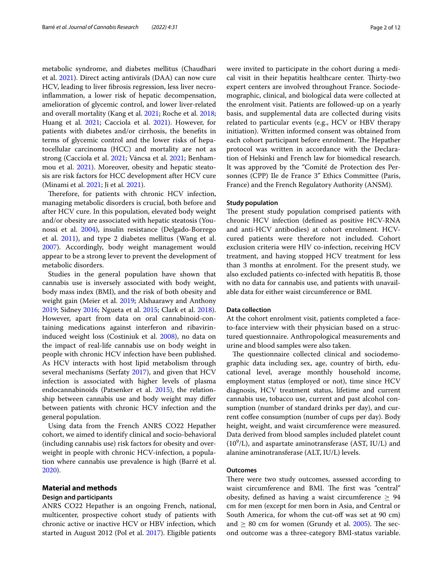metabolic syndrome, and diabetes mellitus (Chaudhari et al. [2021](#page-10-0)). Direct acting antivirals (DAA) can now cure HCV, leading to liver fbrosis regression, less liver necroinfammation, a lower risk of hepatic decompensation, amelioration of glycemic control, and lower liver-related and overall mortality (Kang et al. [2021;](#page-11-0) Roche et al. [2018](#page-11-1); Huang et al. [2021](#page-11-2); Cacciola et al. [2021\)](#page-10-1). However, for patients with diabetes and/or cirrhosis, the benefts in terms of glycemic control and the lower risks of hepatocellular carcinoma (HCC) and mortality are not as strong (Cacciola et al. [2021;](#page-10-1) Váncsa et al. [2021;](#page-11-3) Benham-mou et al. [2021\)](#page-10-2). Moreover, obesity and hepatic steatosis are risk factors for HCC development after HCV cure (Minami et al. [2021](#page-11-4); Ji et al. [2021\)](#page-11-5).

Therefore, for patients with chronic HCV infection, managing metabolic disorders is crucial, both before and after HCV cure. In this population, elevated body weight and/or obesity are associated with hepatic steatosis (Younossi et al. [2004\)](#page-11-6), insulin resistance (Delgado-Borrego et al. [2011\)](#page-10-3), and type 2 diabetes mellitus (Wang et al. [2007](#page-11-7)). Accordingly, body weight management would appear to be a strong lever to prevent the development of metabolic disorders.

Studies in the general population have shown that cannabis use is inversely associated with body weight, body mass index (BMI), and the risk of both obesity and weight gain (Meier et al. [2019;](#page-11-8) Alshaarawy and Anthony [2019](#page-10-4); Sidney [2016;](#page-11-9) Ngueta et al. [2015](#page-11-10); Clark et al. [2018](#page-10-5)). However, apart from data on oral cannabinoid-containing medications against interferon and ribavirininduced weight loss (Costiniuk et al. [2008](#page-10-6)), no data on the impact of real-life cannabis use on body weight in people with chronic HCV infection have been published. As HCV interacts with host lipid metabolism through several mechanisms (Serfaty [2017](#page-11-11)), and given that HCV infection is associated with higher levels of plasma endocannabinoids (Patsenker et al. [2015](#page-11-12)), the relationship between cannabis use and body weight may difer between patients with chronic HCV infection and the general population.

Using data from the French ANRS CO22 Hepather cohort, we aimed to identify clinical and socio-behavioral (including cannabis use) risk factors for obesity and overweight in people with chronic HCV-infection, a population where cannabis use prevalence is high (Barré et al. [2020](#page-10-7)).

## **Material and methods**

## **Design and participants**

ANRS CO22 Hepather is an ongoing French, national, multicenter, prospective cohort study of patients with chronic active or inactive HCV or HBV infection, which started in August 2012 (Pol et al. [2017](#page-11-13)). Eligible patients were invited to participate in the cohort during a medical visit in their hepatitis healthcare center. Thirty-two expert centers are involved throughout France. Sociodemographic, clinical, and biological data were collected at the enrolment visit. Patients are followed-up on a yearly

basis, and supplemental data are collected during visits related to particular events (e.g., HCV or HBV therapy initiation). Written informed consent was obtained from each cohort participant before enrolment. The Hepather protocol was written in accordance with the Declaration of Helsinki and French law for biomedical research. It was approved by the "Comité de Protection des Personnes (CPP) Ile de France 3" Ethics Committee (Paris, France) and the French Regulatory Authority (ANSM).

#### **Study population**

The present study population comprised patients with chronic HCV infection (defned as positive HCV-RNA and anti-HCV antibodies) at cohort enrolment. HCVcured patients were therefore not included. Cohort exclusion criteria were HIV co-infection, receiving HCV treatment, and having stopped HCV treatment for less than 3 months at enrolment. For the present study, we also excluded patients co-infected with hepatitis B, those with no data for cannabis use, and patients with unavailable data for either waist circumference or BMI.

### **Data collection**

At the cohort enrolment visit, patients completed a faceto-face interview with their physician based on a structured questionnaire. Anthropological measurements and urine and blood samples were also taken.

The questionnaire collected clinical and sociodemographic data including sex, age, country of birth, educational level, average monthly household income, employment status (employed or not), time since HCV diagnosis, HCV treatment status, lifetime and current cannabis use, tobacco use, current and past alcohol consumption (number of standard drinks per day), and current coffee consumption (number of cups per day). Body height, weight, and waist circumference were measured. Data derived from blood samples included platelet count  $(10<sup>9</sup>/L)$ , and aspartate aminotransferase (AST, IU/L) and alanine aminotransferase (ALT, IU/L) levels.

#### **Outcomes**

There were two study outcomes, assessed according to waist circumference and BMI. The first was "central" obesity, defined as having a waist circumference  $\geq 94$ cm for men (except for men born in Asia, and Central or South America, for whom the cut-off was set at 90 cm) and  $\geq 80$  cm for women (Grundy et al. [2005\)](#page-10-8). The second outcome was a three-category BMI-status variable.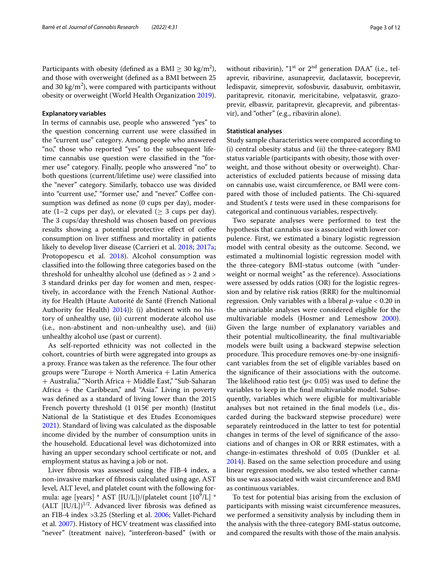Participants with obesity (defined as a BMI  $\geq 30 \text{ kg/m}^2$ ), and those with overweight (defned as a BMI between 25 and 30 kg/m<sup>2</sup>), were compared with participants without obesity or overweight (World Health Organization [2019\)](#page-11-14).

#### **Explanatory variables**

In terms of cannabis use, people who answered "yes" to the question concerning current use were classifed in the "current use" category. Among people who answered "no," those who reported "yes" to the subsequent lifetime cannabis use question were classifed in the "former use" category. Finally, people who answered "no" to both questions (current/lifetime use) were classifed into the "never" category. Similarly, tobacco use was divided into "current use," "former use," and "never." Coffee consumption was defned as none (0 cups per day), moderate (1–2 cups per day), or elevated ( $\geq$  3 cups per day). The 3 cups/day threshold was chosen based on previous results showing a potential protective effect of coffee consumption on liver stifness and mortality in patients likely to develop liver disease (Carrieri et al. [2018](#page-10-9); [2017a](#page-10-10); Protopopescu et al. [2018\)](#page-11-15). Alcohol consumption was classifed into the following three categories based on the threshold for unhealthy alcohol use (defned as > 2 and > 3 standard drinks per day for women and men, respectively, in accordance with the French National Authority for Health (Haute Autorité de Santé (French National Authority for Health) [2014\)](#page-10-11)): (i) abstinent with no history of unhealthy use, (ii) current moderate alcohol use (i.e*.*, non-abstinent and non-unhealthy use), and (iii) unhealthy alcohol use (past or current).

As self-reported ethnicity was not collected in the cohort, countries of birth were aggregated into groups as a proxy. France was taken as the reference. The four other groups were "Europe  $+$  North America  $+$  Latin America + Australia," "North Africa + Middle East," "Sub-Saharan Africa  $+$  the Caribbean," and "Asia." Living in poverty was defned as a standard of living lower than the 2015 French poverty threshold  $(1\ 015\epsilon)$  per month) (Institut National de la Statistique et des Etudes Economiques [2021](#page-11-16)). Standard of living was calculated as the disposable income divided by the number of consumption units in the household. Educational level was dichotomized into having an upper secondary school certifcate or not, and employment status as having a job or not.

Liver fbrosis was assessed using the FIB-4 index, a non-invasive marker of fbrosis calculated using age, AST level, ALT level, and platelet count with the following formula: age [years] \* AST [IU/L])/(platelet count [10<sup>9</sup>/L] \*  $(ALT [IU/L])^{1/2}$ . Advanced liver fibrosis was defined as an FIB-4 index >3.25 (Sterling et al. [2006](#page-11-17); Vallet-Pichard et al. [2007](#page-11-18)). History of HCV treatment was classifed into "never" (treatment naive), "interferon-based" (with or

without ribavirin), " $1<sup>st</sup>$  or  $2<sup>nd</sup>$  generation DAA" (i.e., telaprevir, ribavirine, asunaprevir, daclatasvir, boceprevir, ledispavir, simeprevir, sofosbuvir, dasabuvir, ombitasvir, paritaprevir, ritonavir, mericitabine, velpatasvir, grazoprevir, elbasvir, paritaprevir, glecaprevir, and pibrentasvir), and "other" (e.g., ribavirin alone).

#### **Statistical analyses**

Study sample characteristics were compared according to (i) central obesity status and (ii) the three-category BMI status variable (participants with obesity, those with overweight, and those without obesity or overweight). Characteristics of excluded patients because of missing data on cannabis use, waist circumference, or BMI were compared with those of included patients. The Chi-squared and Student's *t* tests were used in these comparisons for categorical and continuous variables, respectively.

Two separate analyses were performed to test the hypothesis that cannabis use is associated with lower corpulence. First, we estimated a binary logistic regression model with central obesity as the outcome. Second, we estimated a multinomial logistic regression model with the three-category BMI-status outcome (with "underweight or normal weight" as the reference). Associations were assessed by odds ratios (OR) for the logistic regression and by relative risk ratios (RRR) for the multinomial regression. Only variables with a liberal *p*-value < 0.20 in the univariable analyses were considered eligible for the multivariable models (Hosmer and Lemeshow [2000](#page-10-12)). Given the large number of explanatory variables and their potential multicollinearity, the fnal multivariable models were built using a backward stepwise selection procedure. This procedure removes one-by-one insignificant variables from the set of eligible variables based on the signifcance of their associations with the outcome. The likelihood ratio test ( $p$ < 0.05) was used to define the variables to keep in the fnal multivariable model. Subsequently, variables which were eligible for multivariable analyses but not retained in the fnal models (i.e., discarded during the backward stepwise procedure) were separately reintroduced in the latter to test for potential changes in terms of the level of signifcance of the associations and of changes in OR or RRR estimates, with a change-in-estimates threshold of 0.05 (Dunkler et al. [2014](#page-10-13)). Based on the same selection procedure and using linear regression models, we also tested whether cannabis use was associated with waist circumference and BMI as continuous variables.

To test for potential bias arising from the exclusion of participants with missing waist circumference measures, we performed a sensitivity analysis by including them in the analysis with the three-category BMI-status outcome, and compared the results with those of the main analysis.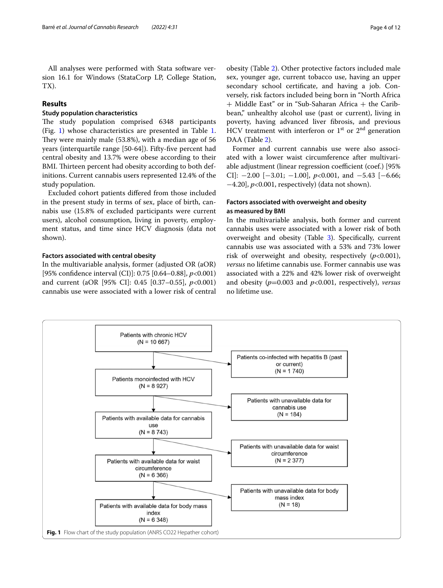All analyses were performed with Stata software version 16.1 for Windows (StataCorp LP, College Station, TX).

## **Results**

## **Study population characteristics**

The study population comprised 6348 participants (Fig. [1\)](#page-3-0) whose characteristics are presented in Table [1](#page-4-0). They were mainly male  $(53.8%)$ , with a median age of 56 years (interquartile range [50-64]). Fifty-fve percent had central obesity and 13.7% were obese according to their BMI. Thirteen percent had obesity according to both definitions. Current cannabis users represented 12.4% of the study population.

Excluded cohort patients difered from those included in the present study in terms of sex, place of birth, cannabis use (15.8% of excluded participants were current users), alcohol consumption, living in poverty, employment status, and time since HCV diagnosis (data not shown).

## **Factors associated with central obesity**

In the multivariable analysis, former (adjusted OR (aOR) [95% confdence interval (CI)]: 0.75 [0.64–0.88], *p*<0.001) and current (aOR [95% CI]: 0.45 [0.37–0.55], *p*<0.001) cannabis use were associated with a lower risk of central

obesity (Table [2](#page-6-0)). Other protective factors included male sex, younger age, current tobacco use, having an upper secondary school certifcate, and having a job. Conversely, risk factors included being born in "North Africa + Middle East" or in "Sub-Saharan Africa + the Caribbean," unhealthy alcohol use (past or current), living in poverty, having advanced liver fbrosis, and previous HCV treatment with interferon or  $1<sup>st</sup>$  or  $2<sup>nd</sup>$  generation DAA (Table [2\)](#page-6-0).

Former and current cannabis use were also associated with a lower waist circumference after multivariable adjustment (linear regression coefficient (coef.) [95% CI]: −2.00 [−3.01; −1.00], *p*<0.001, and −5.43 [−6.66; −4.20], *p*<0.001, respectively) (data not shown).

## **Factors associated with overweight and obesity as measured by BMI**

In the multivariable analysis, both former and current cannabis uses were associated with a lower risk of both overweight and obesity (Table [3](#page-7-0)). Specifcally, current cannabis use was associated with a 53% and 73% lower risk of overweight and obesity, respectively (*p*<0.001), *versus* no lifetime cannabis use. Former cannabis use was associated with a 22% and 42% lower risk of overweight and obesity (*p*=0.003 and *p*<0.001, respectively), *versus* no lifetime use.

<span id="page-3-0"></span>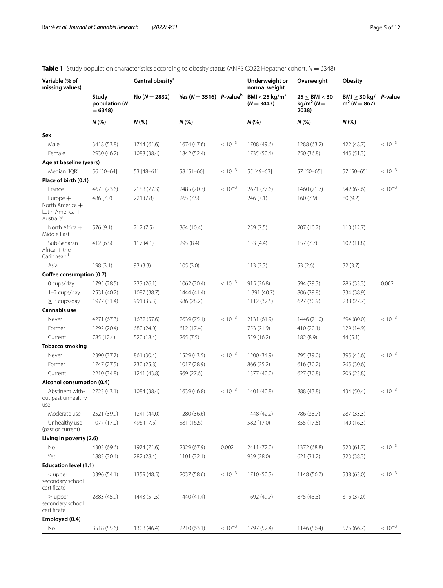| Variable (% of<br>missing values)                                          | Study<br>population (N<br>$= 6348$<br>N(% | Central obesity <sup>a</sup> |                                                |             | Underweight or<br>normal weight<br>BMI < 25 kg/m <sup>2</sup><br>$(N = 3443)$<br>N(% | Overweight                                    | <b>Obesity</b>                              | P-value     |
|----------------------------------------------------------------------------|-------------------------------------------|------------------------------|------------------------------------------------|-------------|--------------------------------------------------------------------------------------|-----------------------------------------------|---------------------------------------------|-------------|
|                                                                            |                                           | No ( $N = 2832$ )<br>N(%     | Yes ( $N = 3516$ ) P-value <sup>b</sup><br>N(% |             |                                                                                      | 25 < BMI < 30<br>$kg/m2$ (N =<br>2038)<br>N(% | $BMl \geq 30 kg/$<br>$m^2 (N = 867)$<br>N(% |             |
|                                                                            |                                           |                              |                                                |             |                                                                                      |                                               |                                             |             |
| Male                                                                       | 3418 (53.8)                               | 1744 (61.6)                  | 1674 (47.6)                                    | $< 10^{-3}$ | 1708 (49.6)                                                                          | 1288 (63.2)                                   | 422 (48.7)                                  | $< 10^{-3}$ |
| Female                                                                     | 2930 (46.2)                               | 1088 (38.4)                  | 1842 (52.4)                                    |             | 1735 (50.4)                                                                          | 750 (36.8)                                    | 445 (51.3)                                  |             |
| Age at baseline (years)                                                    |                                           |                              |                                                |             |                                                                                      |                                               |                                             |             |
| Median [IQR]                                                               | 56 [50-64]                                | 53 [48-61]                   | 58 [51-66]                                     | $< 10^{-3}$ | 55 [49-63]                                                                           | 57 [50-65]                                    | 57 [50-65]                                  | $< 10^{-3}$ |
| Place of birth (0.1)                                                       |                                           |                              |                                                |             |                                                                                      |                                               |                                             |             |
| France                                                                     | 4673 (73.6)                               | 2188 (77.3)                  | 2485 (70.7)                                    | $< 10^{-3}$ | 2671 (77.6)                                                                          | 1460 (71.7)                                   | 542 (62.6)                                  | $< 10^{-3}$ |
| Europe $+$<br>North America +<br>Latin America +<br>Australia <sup>c</sup> | 486 (7.7)                                 | 221(7.8)                     | 265(7.5)                                       |             | 246(7.1)                                                                             | 160(7.9)                                      | 80(9.2)                                     |             |
| North Africa $+$<br>Middle East                                            | 576 (9.1)                                 | 212(7.5)                     | 364 (10.4)                                     |             | 259(7.5)                                                                             | 207 (10.2)                                    | 110(12.7)                                   |             |
| Sub-Saharan<br>Africa $+$ the<br>Caribbean <sup>d</sup>                    | 412 (6.5)                                 | 117(4.1)                     | 295 (8.4)                                      |             | 153(4.4)                                                                             | 157(7.7)                                      | 102(11.8)                                   |             |
| Asia                                                                       | 198(3.1)                                  | 93(3.3)                      | 105(3.0)                                       |             | 113(3.3)                                                                             | 53 (2.6)                                      | 32(3.7)                                     |             |
| Coffee consumption (0.7)                                                   |                                           |                              |                                                |             |                                                                                      |                                               |                                             |             |
| 0 cups/day                                                                 | 1795 (28.5)                               | 733 (26.1)                   | 1062 (30.4)                                    | $< 10^{-3}$ | 915 (26.8)                                                                           | 594 (29.3)                                    | 286 (33.3)                                  | 0.002       |
| 1-2 cups/day                                                               | 2531 (40.2)                               | 1087 (38.7)                  | 1444 (41.4)                                    |             | 1 391 (40.7)                                                                         | 806 (39.8)                                    | 334 (38.9)                                  |             |
| $\geq$ 3 cups/day                                                          | 1977 (31.4)                               | 991 (35.3)                   | 986 (28.2)                                     |             | 1112 (32.5)                                                                          | 627 (30.9)                                    | 238 (27.7)                                  |             |
| Cannabis use                                                               |                                           |                              |                                                |             |                                                                                      |                                               |                                             |             |
| Never                                                                      | 4271 (67.3)                               | 1632 (57.6)                  | 2639 (75.1)                                    | $< 10^{-3}$ | 2131 (61.9)                                                                          | 1446 (71.0)                                   | 694 (80.0)                                  | $< 10^{-3}$ |
| Former                                                                     | 1292 (20.4)                               | 680 (24.0)                   | 612 (17.4)                                     |             | 753 (21.9)                                                                           | 410 (20.1)                                    | 129 (14.9)                                  |             |
| Current                                                                    | 785 (12.4)                                | 520 (18.4)                   | 265(7.5)                                       |             | 559 (16.2)                                                                           | 182 (8.9)                                     | 44(5.1)                                     |             |
| <b>Tobacco smoking</b>                                                     |                                           |                              |                                                |             |                                                                                      |                                               |                                             |             |
| Never                                                                      | 2390 (37.7)                               | 861 (30.4)                   | 1529 (43.5)                                    | $< 10^{-3}$ | 1200 (34.9)                                                                          | 795 (39.0)                                    | 395 (45.6)                                  | $< 10^{-3}$ |
| Former                                                                     | 1747 (27.5)                               | 730 (25.8)                   | 1017 (28.9)                                    |             | 866 (25.2)                                                                           | 616 (30.2)                                    | 265 (30.6)                                  |             |
| Current                                                                    | 2210 (34.8)                               | 1241 (43.8)                  | 969 (27.6)                                     |             | 1377 (40.0)                                                                          | 627 (30.8)                                    | 206 (23.8)                                  |             |
| Alcohol consumption (0.4)                                                  |                                           |                              |                                                |             |                                                                                      |                                               |                                             |             |
| Abstinent with-<br>out past unhealthy<br>use                               | 2723 (43.1)                               | 1084 (38.4)                  | 1639 (46.8)                                    | $< 10^{-3}$ | 1401 (40.8)                                                                          | 888 (43.8)                                    | 434 (50.4)                                  | $< 10^{-3}$ |
| Moderate use                                                               | 2521 (39.9)                               | 1241 (44.0)                  | 1280 (36.6)                                    |             | 1448 (42.2)                                                                          | 786 (38.7)                                    | 287 (33.3)                                  |             |
| Unhealthy use<br>(past or current)                                         | 1077 (17.0)                               | 496 (17.6)                   | 581 (16.6)                                     |             | 582 (17.0)                                                                           | 355 (17.5)                                    | 140 (16.3)                                  |             |
| Living in poverty (2.6)                                                    |                                           |                              |                                                |             |                                                                                      |                                               |                                             |             |
| No                                                                         | 4303 (69.6)                               | 1974 (71.6)                  | 2329 (67.9)                                    | 0.002       | 2411 (72.0)                                                                          | 1372 (68.8)                                   | 520 (61.7)                                  | $< 10^{-3}$ |
| Yes                                                                        | 1883 (30.4)                               | 782 (28.4)                   | 1101 (32.1)                                    |             | 939 (28.0)                                                                           | 621 (31.2)                                    | 323 (38.3)                                  |             |
| Education level (1.1)                                                      |                                           |                              |                                                |             |                                                                                      |                                               |                                             |             |
| $<$ upper<br>secondary school<br>certificate                               | 3396 (54.1)                               | 1359 (48.5)                  | 2037 (58.6)                                    | $< 10^{-3}$ | 1710 (50.3)                                                                          | 1148 (56.7)                                   | 538 (63.0)                                  | $< 10^{-3}$ |
| $\geq$ upper<br>secondary school<br>certificate                            | 2883 (45.9)                               | 1443 (51.5)                  | 1440 (41.4)                                    |             | 1692 (49.7)                                                                          | 875 (43.3)                                    | 316 (37.0)                                  |             |
| Employed (0.4)                                                             |                                           |                              |                                                |             |                                                                                      |                                               |                                             |             |
| No                                                                         | 3518 (55.6)                               | 1308 (46.4)                  | 2210 (63.1)                                    | $< 10^{-3}$ | 1797 (52.4)                                                                          | 1146 (56.4)                                   | 575 (66.7)                                  | $< 10^{-3}$ |

## <span id="page-4-0"></span>**Table 1** Study population characteristics according to obesity status (ANRS CO22 Hepather cohort, *N* = 6348)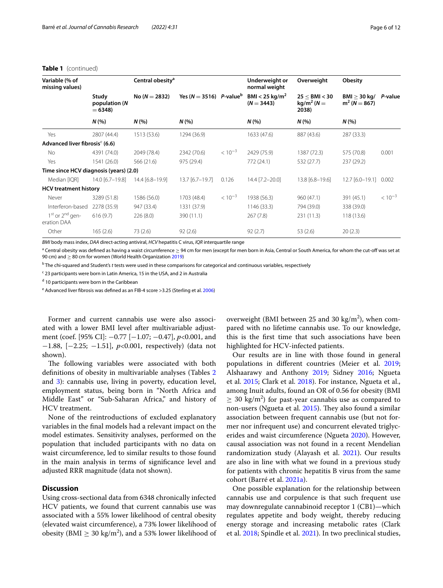#### **Table 1** (continued)

| Variable (% of<br>missing values)          |                                    | Central obesity <sup>a</sup> |                                         |             | Underweight or<br>normal weight            | Overweight                                  | Obesity                         |             |
|--------------------------------------------|------------------------------------|------------------------------|-----------------------------------------|-------------|--------------------------------------------|---------------------------------------------|---------------------------------|-------------|
|                                            | Study<br>population (N<br>$= 6348$ | $No (N = 2832)$              | Yes ( $N = 3516$ ) P-value <sup>b</sup> |             | BMI < 25 kg/m <sup>2</sup><br>$(N = 3443)$ | $25 \leq$ BMI < 30<br>$kg/m2$ (N =<br>2038) | BMI > 30 kg/<br>$m^2 (N = 867)$ | P-value     |
|                                            | N(%                                | N(%                          | N(%                                     |             | N(%                                        | N(%                                         | N(%                             |             |
| Yes                                        | 2807 (44.4)                        | 1513 (53.6)                  | 1294 (36.9)                             |             | 1633 (47.6)                                | 887 (43.6)                                  | 287 (33.3)                      |             |
| Advanced liver fibrosis <sup>e</sup> (6.6) |                                    |                              |                                         |             |                                            |                                             |                                 |             |
| No                                         | 4391 (74.0)                        | 2049 (78.4)                  | 2342 (70.6)                             | $< 10^{-3}$ | 2429 (75.9)                                | 1387 (72.3)                                 | 575 (70.8)                      | 0.001       |
| Yes                                        | 1541 (26.0)                        | 566 (21.6)                   | 975 (29.4)                              |             | 772 (24.1)                                 | 532 (27.7)                                  | 237(29.2)                       |             |
| Time since HCV diagnosis (years) (2.0)     |                                    |                              |                                         |             |                                            |                                             |                                 |             |
| Median [IQR]                               | 14.0 [6.7-19.8]                    | 14.4 [6.8-19.9]              | 13.7 [6.7-19.7]                         | 0.126       | 14.4 [7.2-20.0]                            | 13.8 [6.8-19.6]                             | $12.7$ [6.0-19.1]               | 0.002       |
| <b>HCV</b> treatment history               |                                    |                              |                                         |             |                                            |                                             |                                 |             |
| Never                                      | 3289 (51.8)                        | 1586 (56.0)                  | 1703 (48.4)                             | $< 10^{-3}$ | 1938 (56.3)                                | 960(47.1)                                   | 391 (45.1)                      | $< 10^{-3}$ |
| Interferon-based                           | 2278 (35.9)                        | 947 (33.4)                   | 1331 (37.9)                             |             | 1146 (33.3)                                | 794 (39.0)                                  | 338 (39.0)                      |             |
| $1st$ or $2nd$ gen-<br>eration DAA         | 616(9.7)                           | 226(8.0)                     | 390 (11.1)                              |             | 267(7.8)                                   | 231 (11.3)                                  | 118(13.6)                       |             |
| Other                                      | 165(2.6)                           | 73(2.6)                      | 92(2.6)                                 |             | 92(2.7)                                    | 53(2.6)                                     | 20(2.3)                         |             |

*BMI* body mass index, *DAA* direct-acting antiviral, *HCV* hepatitis C virus, *IQR* interquartile range

 $^{\rm a}$  Central obesity was defined as having a waist circumference  $\geq$  94 cm for men (except for men born in Asia, Central or South America, for whom the cut-off was set at 90 cm) and ≥ 80 cm for women (World Health Organization [2019](#page-11-14))

b The chi-squared and Student's *t* tests were used in these comparisons for categorical and continuous variables, respectively

<sup>c</sup> 23 participants were born in Latin America, 15 in the USA, and 2 in Australia

<sup>d</sup> 10 participants were born in the Caribbean

<sup>e</sup> Advanced liver fibrosis was defined as an FIB-4 score >3.25 (Sterling et al. [2006](#page-11-17))

Former and current cannabis use were also associated with a lower BMI level after multivariable adjustment (coef. [95% CI]: −0.77 [−1.07; −0.47], *p*<0.001, and −1.88, [−2.25; −1.51], *p*<0.001, respectively) (data not shown).

The following variables were associated with both defnitions of obesity in multivariable analyses (Tables [2](#page-6-0) and [3\)](#page-7-0): cannabis use, living in poverty, education level, employment status, being born in "North Africa and Middle East" or "Sub-Saharan Africa," and history of HCV treatment.

None of the reintroductions of excluded explanatory variables in the fnal models had a relevant impact on the model estimates. Sensitivity analyses, performed on the population that included participants with no data on waist circumference, led to similar results to those found in the main analysis in terms of signifcance level and adjusted RRR magnitude (data not shown).

## **Discussion**

Using cross-sectional data from 6348 chronically infected HCV patients, we found that current cannabis use was associated with a 55% lower likelihood of central obesity (elevated waist circumference), a 73% lower likelihood of obesity (BMI  $\geq 30 \text{ kg/m}^2$ ), and a 53% lower likelihood of

overweight (BMI between 25 and 30  $\text{kg/m}^2$ ), when compared with no lifetime cannabis use. To our knowledge, this is the frst time that such associations have been highlighted for HCV-infected patients.

Our results are in line with those found in general populations in diferent countries (Meier et al. [2019](#page-11-8); Alshaarawy and Anthony [2019;](#page-10-4) Sidney [2016;](#page-11-9) Ngueta et al. [2015](#page-11-10); Clark et al. [2018\)](#page-10-5). For instance, Ngueta et al., among Inuit adults, found an OR of 0.56 for obesity (BMI  $\geq$  30 kg/m<sup>2</sup>) for past-year cannabis use as compared to non-users (Ngueta et al. [2015\)](#page-11-10). They also found a similar association between frequent cannabis use (but not former nor infrequent use) and concurrent elevated triglycerides and waist circumference (Ngueta [2020\)](#page-11-19). However, causal association was not found in a recent Mendelian randomization study (Alayash et al. [2021\)](#page-10-14). Our results are also in line with what we found in a previous study for patients with chronic hepatitis B virus from the same cohort (Barré et al. [2021a\)](#page-10-15).

One possible explanation for the relationship between cannabis use and corpulence is that such frequent use may downregulate cannabinoid receptor 1 (CB1)—which regulates appetite and body weight, thereby reducing energy storage and increasing metabolic rates (Clark et al. [2018](#page-10-5); Spindle et al. [2021\)](#page-11-20). In two preclinical studies,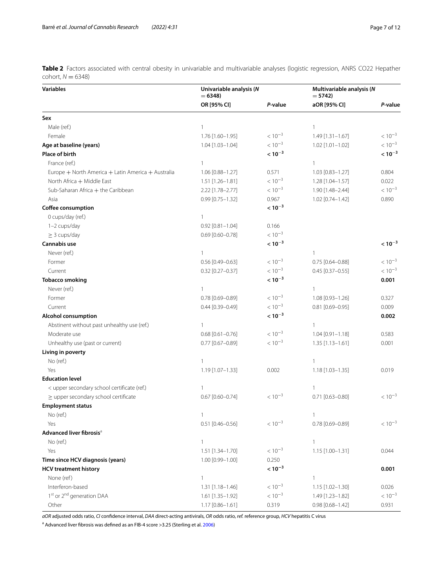<span id="page-6-0"></span>**Table 2** Factors associated with central obesity in univariable and multivariable analyses (logistic regression, ANRS CO22 Hepather cohort,  $N = 6348$ )

| <b>Variables</b>                                   | Univariable analysis (N<br>$= 6348$ |             | Multivariable analysis (N<br>$= 5742$ |             |
|----------------------------------------------------|-------------------------------------|-------------|---------------------------------------|-------------|
|                                                    | OR [95% CI]                         | P-value     | aOR [95% CI]                          | P-value     |
| Sex                                                |                                     |             |                                       |             |
| Male (ref.)                                        | 1                                   |             | $\mathbf{1}$                          |             |
| Female                                             | 1.76 [1.60-1.95]                    | $< 10^{-3}$ | $1.49$ [1.31-1.67]                    | $< 10^{-3}$ |
| Age at baseline (years)                            | 1.04 [1.03-1.04]                    | $< 10^{-3}$ | $1.02$ [1.01-1.02]                    | $< 10^{-3}$ |
| Place of birth                                     |                                     | $< 10^{-3}$ |                                       | $< 10^{-3}$ |
| France (ref.)                                      | 1                                   |             | $\mathbf{1}$                          |             |
| Europe + North America + Latin America + Australia | 1.06 [0.88-1.27]                    | 0.571       | $1.03$ [0.83-1.27]                    | 0.804       |
| North Africa + Middle East                         | $1.51$ [1.26-1.81]                  | $< 10^{-3}$ | 1.28 [1.04-1.57]                      | 0.022       |
| Sub-Saharan Africa + the Caribbean                 | 2.22 [1.78-2.77]                    | $< 10^{-3}$ | 1.90 [1.48-2.44]                      | $< 10^{-3}$ |
| Asia                                               | $0.99$ [0.75-1.32]                  | 0.967       | 1.02 [0.74-1.42]                      | 0.890       |
| Coffee consumption                                 |                                     | $< 10^{-3}$ |                                       |             |
| 0 cups/day (ref.)                                  | $\mathbf{1}$                        |             |                                       |             |
| 1-2 cups/day                                       | $0.92$ $[0.81 - 1.04]$              | 0.166       |                                       |             |
| $\geq$ 3 cups/day                                  | $0.69$ [0.60-0.78]                  | $< 10^{-3}$ |                                       |             |
| Cannabis use                                       |                                     | $< 10^{-3}$ |                                       | $< 10^{-3}$ |
| Never (ref.)                                       | $\mathbf{1}$                        |             | $\overline{1}$                        |             |
| Former                                             | $0.56$ [0.49-0.63]                  | $< 10^{-3}$ | $0.75$ [0.64-0.88]                    | $< 10^{-3}$ |
| Current                                            | $0.32$ [0.27-0.37]                  | $< 10^{-3}$ | $0.45$ [0.37-0.55]                    | $< 10^{-3}$ |
| <b>Tobacco smoking</b>                             |                                     | $< 10^{-3}$ |                                       | 0.001       |
| Never (ref.)                                       | $\mathbf{1}$                        |             | $\mathbf{1}$                          |             |
| Former                                             | $0.78$ [0.69-0.89]                  | $< 10^{-3}$ | 1.08 [0.93-1.26]                      | 0.327       |
| Current                                            | $0.44$ [0.39-0.49]                  | $< 10^{-3}$ | $0.81$ [0.69-0.95]                    | 0.009       |
| <b>Alcohol consumption</b>                         |                                     | $< 10^{-3}$ |                                       | 0.002       |
| Abstinent without past unhealthy use (ref.)        | $\mathbf{1}$                        |             | $\mathbf{1}$                          |             |
| Moderate use                                       | $0.68$ [0.61-0.76]                  | $< 10^{-3}$ | $1.04$ [0.91-1.18]                    | 0.583       |
| Unhealthy use (past or current)                    | $0.77$ [0.67-0.89]                  | $< 10^{-3}$ | $1.35$ [1.13-1.61]                    | 0.001       |
| Living in poverty                                  |                                     |             |                                       |             |
| No (ref.)                                          | $\mathbf{1}$                        |             | $\mathbf{1}$                          |             |
| Yes                                                | 1.19 [1.07-1.33]                    | 0.002       | 1.18 [1.03-1.35]                      | 0.019       |
| <b>Education level</b>                             |                                     |             |                                       |             |
| < upper secondary school certificate (ref.)        | $\mathbf{1}$                        |             | $\overline{1}$                        |             |
| $\geq$ upper secondary school certificate          | $0.67$ [0.60-0.74]                  | $< 10^{-3}$ | $0.71$ [0.63-0.80]                    | $< 10^{-3}$ |
| <b>Employment status</b>                           |                                     |             |                                       |             |
| No (ref.)                                          |                                     |             |                                       |             |
| Yes                                                | $0.51$ [0.46-0.56]                  | $< 10^{-3}$ | $0.78$ [0.69-0.89]                    | $< 10^{-3}$ |
| Advanced liver fibrosis <sup>a</sup>               |                                     |             |                                       |             |
| No (ref.)                                          | $\mathbf{1}$                        |             | $\mathbf{1}$                          |             |
| Yes                                                | 1.51 [1.34-1.70]                    | $< 10^{-3}$ | 1.15 [1.00-1.31]                      | 0.044       |
| Time since HCV diagnosis (years)                   | 1.00 [0.99-1.00]                    | 0.250       |                                       |             |
| <b>HCV treatment history</b>                       |                                     | $< 10^{-3}$ |                                       | 0.001       |
| None (ref)                                         | $\mathbf{1}$                        |             | $\mathbf{1}$                          |             |
| Interferon-based                                   | 1.31 [1.18-1.46]                    | $< 10^{-3}$ | 1.15 [1.02-1.30]                      | 0.026       |
| 1st or 2 <sup>nd</sup> generation DAA              | 1.61 [1.35-1.92]                    | $< 10^{-3}$ | 1.49 [1.23-1.82]                      | $< 10^{-3}$ |
| Other                                              | 1.17 [0.86-1.61]                    | 0.319       | $0.98$ [0.68-1.42]                    | 0.931       |

*aOR* adjusted odds ratio, *CI* confdence interval, *DAA* direct-acting antivirals, *OR* odds ratio, *ref.* reference group, *HCV* hepatitis C virus

<sup>a</sup> Advanced liver fibrosis was defined as an FIB-4 score >3.25 (Sterling et al. [2006](#page-11-17))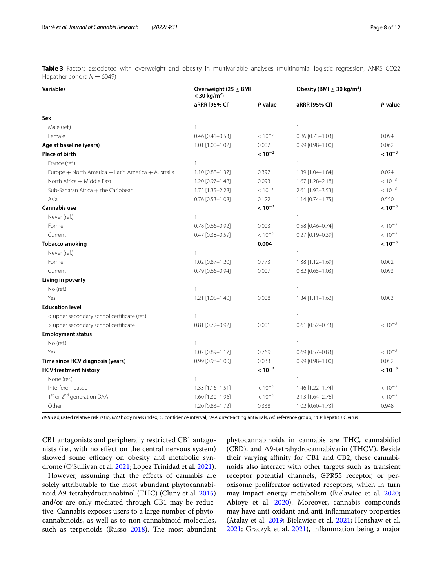<span id="page-7-0"></span>**Table 3** Factors associated with overweight and obesity in multivariable analyses (multinomial logistic regression, ANRS CO22 Hepather cohort,  $N = 6049$ )

| <b>Variables</b>                                   | Overweight (25 $\leq$ BMI<br>$<$ 30 kg/m <sup>2</sup> ) |             | Obesity (BMI $\geq$ 30 kg/m <sup>2</sup> ) |             |
|----------------------------------------------------|---------------------------------------------------------|-------------|--------------------------------------------|-------------|
|                                                    | aRRR [95% CI]                                           | P-value     | aRRR [95% CI]                              | P-value     |
| Sex                                                |                                                         |             |                                            |             |
| Male (ref.)                                        | $\mathbf{1}$                                            |             | $\mathbf{1}$                               |             |
| Female                                             | $0.46$ [0.41-0.53]                                      | $< 10^{-3}$ | $0.86$ [0.73-1.03]                         | 0.094       |
| Age at baseline (years)                            | 1.01 [1.00-1.02]                                        | 0.002       | 0.99 [0.98-1.00]                           | 0.062       |
| Place of birth                                     |                                                         | $< 10^{-3}$ |                                            | $< 10^{-3}$ |
| France (ref.)                                      | $\mathbf{1}$                                            |             | $\mathbf{1}$                               |             |
| Europe + North America + Latin America + Australia | 1.10 [0.88-1.37]                                        | 0.397       | 1.39 [1.04-1.84]                           | 0.024       |
| North Africa + Middle East                         | 1.20 [0.97-1.48]                                        | 0.093       | 1.67 [1.28-2.18]                           | $< 10^{-3}$ |
| Sub-Saharan Africa + the Caribbean                 | 1.75 [1.35-2.28]                                        | $< 10^{-3}$ | 2.61 [1.93-3.53]                           | $< 10^{-3}$ |
| Asia                                               | $0.76$ [0.53-1.08]                                      | 0.122       | $1.14$ [0.74-1.75]                         | 0.550       |
| <b>Cannabis use</b>                                |                                                         | $< 10^{-3}$ |                                            | $< 10^{-3}$ |
| Never (ref.)                                       | $\mathbf{1}$                                            |             | $\mathbf{1}$                               |             |
| Former                                             | $0.78$ [0.66-0.92]                                      | 0.003       | $0.58$ [0.46-0.74]                         | $< 10^{-3}$ |
| Current                                            | 0.47 [0.38-0.59]                                        | $< 10^{-3}$ | $0.27$ [0.19-0.39]                         | $< 10^{-3}$ |
| <b>Tobacco smoking</b>                             |                                                         | 0.004       |                                            | $< 10^{-3}$ |
| Never (ref.)                                       | $\mathbf{1}$                                            |             | $\mathbf{1}$                               |             |
| Former                                             | $1.02$ [0.87-1.20]                                      | 0.773       | $1.38$ [1.12-1.69]                         | 0.002       |
| Current                                            | 0.79 [0.66-0.94]                                        | 0.007       | $0.82$ [0.65-1.03]                         | 0.093       |
| Living in poverty                                  |                                                         |             |                                            |             |
| No (ref.)                                          | $\mathbf{1}$                                            |             | $\mathbf{1}$                               |             |
| Yes                                                | 1.21 [1.05-1.40]                                        | 0.008       | $1.34$ [1.11-1.62]                         | 0.003       |
| <b>Education level</b>                             |                                                         |             |                                            |             |
| < upper secondary school certificate (ref.)        | $\mathbf{1}$                                            |             | $\mathbf{1}$                               |             |
| > upper secondary school certificate               | $0.81$ [0.72-0.92]                                      | 0.001       | $0.61$ [0.52-0.73]                         | $< 10^{-3}$ |
| <b>Employment status</b>                           |                                                         |             |                                            |             |
| No (ref.)                                          | $\mathbf{1}$                                            |             | $\mathbf{1}$                               |             |
| Yes                                                | 1.02 [0.89-1.17]                                        | 0.769       | $0.69$ [0.57-0.83]                         | $< 10^{-3}$ |
| Time since HCV diagnosis (years)                   | $0.99$ $[0.98 - 1.00]$                                  | 0.033       | $0.99$ $[0.98 - 1.00]$                     | 0.052       |
| <b>HCV treatment history</b>                       |                                                         | $< 10^{-3}$ |                                            | $< 10^{-3}$ |
| None (ref.)                                        | $\mathbf{1}$                                            |             | $\mathbf{1}$                               |             |
| Interferon-based                                   | $1.33$ [1.16-1.51]                                      | $< 10^{-3}$ | 1.46 [1.22-1.74]                           | $< 10^{-3}$ |
| 1st or 2 <sup>nd</sup> generation DAA              | 1.60 [1.30-1.96]                                        | $< 10^{-3}$ | 2.13 [1.64-2.76]                           | $< 10^{-3}$ |
| Other                                              | 1.20 [0.83-1.72]                                        | 0.338       | 1.02 [0.60-1.73]                           | 0.948       |

*aRRR* adjusted relative risk ratio, *BMI* body mass index, *CI* confdence interval, *DAA* direct-acting antivirals, *ref.* reference group, *HCV* hepatitis C virus

CB1 antagonists and peripherally restricted CB1 antagonists (i.e., with no efect on the central nervous system) showed some efficacy on obesity and metabolic syndrome (O'Sullivan et al. [2021;](#page-11-21) Lopez Trinidad et al. [2021](#page-11-22)).

However, assuming that the effects of cannabis are solely attributable to the most abundant phytocannabinoid Δ9-tetrahydrocannabinol (THC) (Cluny et al. [2015](#page-10-16)) and/or are only mediated through CB1 may be reductive. Cannabis exposes users to a large number of phytocannabinoids, as well as to non-cannabinoid molecules, such as terpenoids (Russo  $2018$ ). The most abundant phytocannabinoids in cannabis are THC, cannabidiol (CBD), and Δ9-tetrahydrocannabivarin (THCV). Beside their varying affinity for CB1 and CB2, these cannabinoids also interact with other targets such as transient receptor potential channels, GPR55 receptor, or peroxisome proliferator activated receptors, which in turn may impact energy metabolism (Bielawiec et al. [2020](#page-10-17); Abioye et al. [2020\)](#page-10-18). Moreover, cannabis compounds may have anti-oxidant and anti-infammatory properties (Atalay et al. [2019;](#page-10-19) Bielawiec et al. [2021](#page-10-20); Henshaw et al. [2021](#page-10-21); Graczyk et al. [2021\)](#page-10-22), infammation being a major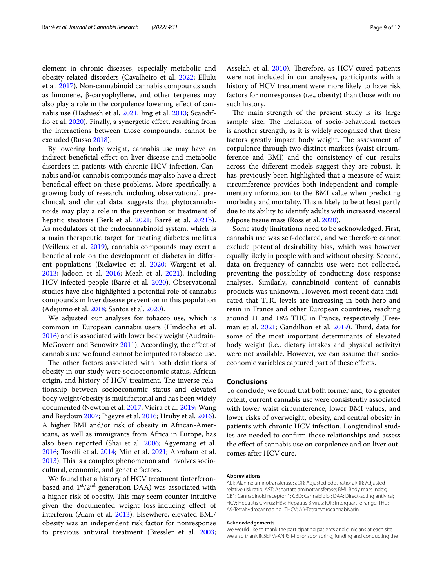element in chronic diseases, especially metabolic and obesity-related disorders (Cavalheiro et al. [2022](#page-10-23); Ellulu et al. [2017\)](#page-10-24). Non-cannabinoid cannabis compounds such as limonene, β-caryophyllene, and other terpenes may also play a role in the corpulence lowering efect of cannabis use (Hashiesh et al. [2021](#page-10-25); Jing et al. [2013](#page-11-24); Scandiffo et al. [2020](#page-11-25)). Finally, a synergetic efect, resulting from the interactions between those compounds, cannot be

By lowering body weight, cannabis use may have an indirect benefcial efect on liver disease and metabolic disorders in patients with chronic HCV infection. Cannabis and/or cannabis compounds may also have a direct beneficial effect on these problems. More specifically, a growing body of research, including observational, preclinical, and clinical data, suggests that phytocannabinoids may play a role in the prevention or treatment of hepatic steatosis (Berk et al. [2021;](#page-10-26) Barré et al. [2021b](#page-10-27)). As modulators of the endocannabinoid system, which is a main therapeutic target for treating diabetes mellitus (Veilleux et al. [2019\)](#page-11-26), cannabis compounds may exert a benefcial role on the development of diabetes in diferent populations (Bielawiec et al. [2020](#page-10-17); Wargent et al. [2013](#page-11-27); Jadoon et al. [2016;](#page-11-28) Meah et al. [2021](#page-11-29)), including HCV-infected people (Barré et al. [2020](#page-10-7)). Observational studies have also highlighted a potential role of cannabis compounds in liver disease prevention in this population (Adejumo et al. [2018](#page-10-28); Santos et al. [2020\)](#page-11-30).

We adjusted our analyses for tobacco use, which is common in European cannabis users (Hindocha et al. [2016](#page-10-29)) and is associated with lower body weight (Audrain-McGovern and Benowitz [2011](#page-10-30)). Accordingly, the efect of cannabis use we found cannot be imputed to tobacco use.

The other factors associated with both definitions of obesity in our study were socioeconomic status, African origin, and history of HCV treatment. The inverse relationship between socioeconomic status and elevated body weight/obesity is multifactorial and has been widely documented (Newton et al. [2017](#page-11-31); Vieira et al. [2019](#page-11-32); Wang and Beydoun [2007;](#page-11-33) Pigeyre et al. [2016;](#page-11-34) Hruby et al. [2016](#page-11-35)). A higher BMI and/or risk of obesity in African-Americans, as well as immigrants from Africa in Europe, has also been reported (Shai et al. [2006;](#page-11-36) Agyemang et al. [2016](#page-10-31); Toselli et al. [2014;](#page-11-37) Min et al. [2021](#page-11-38); Abraham et al. [2013](#page-10-32)). This is a complex phenomenon and involves sociocultural, economic, and genetic factors.

We found that a history of HCV treatment (interferonbased and  $1<sup>st</sup>/2<sup>nd</sup>$  generation DAA) was associated with a higher risk of obesity. This may seem counter-intuitive given the documented weight loss-inducing efect of interferon (Alam et al. [2013\)](#page-10-33). Elsewhere, elevated BMI/ obesity was an independent risk factor for nonresponse to previous antiviral treatment (Bressler et al. [2003](#page-10-34); Asselah et al. [2010](#page-10-35)). Therefore, as HCV-cured patients were not included in our analyses, participants with a history of HCV treatment were more likely to have risk factors for nonresponses (i.e., obesity) than those with no such history.

The main strength of the present study is its large sample size. The inclusion of socio-behavioral factors is another strength, as it is widely recognized that these factors greatly impact body weight. The assessment of corpulence through two distinct markers (waist circumference and BMI) and the consistency of our results across the diferent models suggest they are robust. It has previously been highlighted that a measure of waist circumference provides both independent and complementary information to the BMI value when predicting morbidity and mortality. This is likely to be at least partly due to its ability to identify adults with increased visceral adipose tissue mass (Ross et al. [2020](#page-11-39)).

Some study limitations need to be acknowledged. First, cannabis use was self-declared, and we therefore cannot exclude potential desirability bias, which was however equally likely in people with and without obesity. Second, data on frequency of cannabis use were not collected, preventing the possibility of conducting dose-response analyses. Similarly, cannabinoid content of cannabis products was unknown. However, most recent data indicated that THC levels are increasing in both herb and resin in France and other European countries, reaching around 11 and 18% THC in France, respectively (Free-man et al. [2021;](#page-10-36) Gandilhon et al. [2019](#page-10-37)). Third, data for some of the most important determinants of elevated body weight (i.e., dietary intakes and physical activity) were not available. However, we can assume that socioeconomic variables captured part of these efects.

#### **Conclusions**

To conclude, we found that both former and, to a greater extent, current cannabis use were consistently associated with lower waist circumference, lower BMI values, and lower risks of overweight, obesity, and central obesity in patients with chronic HCV infection. Longitudinal studies are needed to confrm those relationships and assess the effect of cannabis use on corpulence and on liver outcomes after HCV cure.

#### **Abbreviations**

ALT: Alanine aminotransferase; aOR: Adjusted odds ratio; aRRR: Adjusted relative risk ratio; AST: Aspartate aminotransferase; BMI: Body mass index; CB1: Cannabinoid receptor 1; CBD: Cannabidiol; DAA: Direct-acting antiviral; HCV: Hepatitis C virus; HBV: Hepatitis B virus; IQR: Interquartile range; THC: Δ9-Tetrahydrocannabinol; THCV: Δ9-Tetrahydrocannabivarin.

#### **Acknowledgements**

We would like to thank the participating patients and clinicians at each site. We also thank INSERM-ANRS MIE for sponsoring, funding and conducting the

excluded (Russo [2018\)](#page-11-23).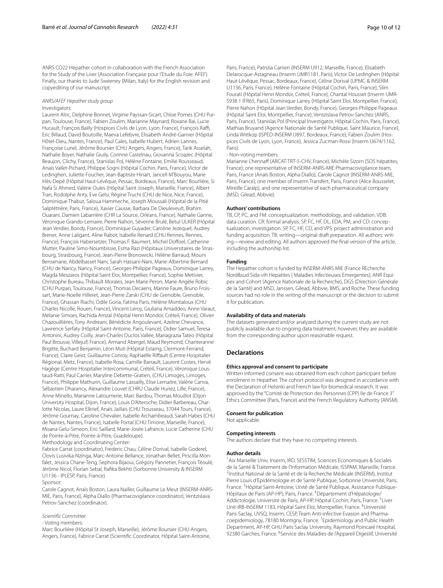ANRS CO22 Hepather cohort in collaboration with the French Association for the Study of the Liver (Association Française pour l'Etude du Foie: AFEF). Finally, our thanks to Jude Sweeney (Milan, Italy) for the English revision and copyediting of our manuscript.

#### *ANRS/AFEF Hepather study group* Investigators:

Laurent Alric, Delphine Bonnet, Virginie Payssan-Sicart, Chloe Pomes (CHU Purpan, Toulouse, France), Fabien Zoulim, Marianne Maynard, Roxane Bai, Lucie Hucault, François Bailly (Hospices Civils de Lyon, Lyon, France), François Raffi, Eric Billaud, David Boutoille, Maeva Lefebvre, Elisabeth André-Garnier (Hôpital Hôtel-Dieu, Nantes, France), Paul Cales, Isabelle Hubert, Adrien Lannes, Françoise Lunel, Jérôme Boursier (CHU Angers, Angers, France), Tarik Asselah, Nathalie Boyer, Nathalie Giuily, Corinne Castelnau, Giovanna Scoazec (Hôpital Beaujon, Clichy, France), Stanislas Pol, Hélène Fontaine, Emilie Rousseaud, Anaïs Vallet-Pichard, Philippe Sogni (Hôpital Cochin, Paris, France), Victor de Ledinghen, Juliette Foucher, Jean-Baptiste Hiriart, Jancell M'Bouyou, Marie Irlès-Depé (Hôpital Haut-Lévêque, Pessac, Bordeaux, France), Marc Bourlière, Si Nafa Si Ahmed, Valérie Oules (Hôpital Saint Joseph, Marseille, France), Albert Tran, Rodolphe Anty, Eve Gelsi, Régine Truchi (CHU de Nice, Nice, France), Dominique Thabut, Saloua Hammeche, Joseph Moussali (Hôpital de la Pitié Salptétrière, Paris, France), Xavier Causse, Barbara De Dieuleveult, Brahim Ouarani, Damien Labarrière (CHR La Source, Orléans, France), Nathalie Ganne, Véronique Grando-Lemaire, Pierre Nahon, Séverine Brulé, Betul ULKER (Hôpital Jean Verdier, Bondy, France), Dominique Guyader, Caroline Jezequel, Audrey Brener, Anne Laligant, Aline Rabot, Isabelle Renard (CHU Rennes, Rennes, France), François Habersetzer, Thomas F. Baumert, Michel Dofoel, Catherine Mutter, Pauline Simo-Noumbissie, Esma Razi (Hôpitaux Universitaires de Strasbourg, Strasbourg, France), Jean-Pierre Bronowicki, Hélène Barraud, Mouni Bensenane, Abdelbasset Nani, Sarah Hassani-Nani, Marie-Albertine Bernard (CHU de Nancy, Nancy, France), Georges-Philippe Pageaux, Dominique Larrey, Magda Meszaros (Hôpital Saint Eloi, Montpellier, France), Sophie Metivier, Christophe Bureau, Thibault Morales, Jean Marie Peron, Marie Angèle Robic (CHU Purpan, Toulouse, France), Thomas Decaens, Marine Faure, Bruno Frois‑ sart, Marie-Noelle Hilleret, Jean-Pierre Zarski (CHU de Grenoble, Grenoble, France), Ghassan Riachi, Odile Goria, Fatima Paris, Hélène Montialoux (CHU Charles Nicolle, Rouen, France), Vincent Leroy, Giuliana Amaddeo, Anne Varaut, Mélanie Simoes, Rachida Amzal (Hôpital Henri Mondor, Créteil, France), Olivier Chazouillières, Tony Andreani, Bénédicte Angoulevant, Azeline Chevance, Lawrence Serfaty (Hôpital Saint-Antoine, Paris, France), Didier Samuel, Teresa Antonini, Audrey Coilly, Jean-Charles Duclos Vallée, Mariagrazia Tateo (Hôpital Paul Brousse, Villejuif, France), Armand Abergel, Maud Reymond, Chanteranne Brigitte, Buchard Benjamin, Léon Muti (Hôpital Estaing, Clermont-Ferrand, France), Claire Geist, Guillaume Conroy, Raphaëlle Rifault (Centre Hospitalier Régional, Metz, France), Isabelle Rosa, Camille Barrault, Laurent Costes, Hervé Hagège (Centre Hospitalier Intercommunal, Créteil, France), Véronique Loustaud-Ratti, Paul Carrier, Maryline Debette-Gratien, (CHU Limoges, Limoges, France), Philippe Mathurin, Guillaume Lassailly, Elise Lemaitre, Valérie Canva, Sébastien Dharancy, Alexandre Louvet (CHRU Claude Huriez, Lille, France), Anne Minello, Marianne Latournerie, Marc Bardou, Thomas Mouillot (Dijon University Hospital, Dijon, France), Louis D'Alteroche, Didier Barbereau, Char‑ lotte Nicolas, Laure Elkrief, Anaïs Jaillais (CHU Trousseau, 37044 Tours, France), Jérôme Gournay, Caroline Chevalier, Isabelle Archambeaud, Sarah Habes (CHU de Nantes, Nantes, France), Isabelle Portal (CHU Timone, Marseille, France), Moana Gelu-Simeon, Eric Saillard, Marie-Josée Lafrance, Lucie Catherine (CHU de Pointe-à-Pitre, Pointe-à-Pitre, Guadeloupe).

Methodology and Coordinating Center:

Fabrice Carrat (coordinator), Frederic Chau, Céline Dorival, Isabelle Goderel, Clovis Lusivika-Nzinga, Marc-Antoine Bellance, Jonathan Bellet, Priscilla Monfalet, Jessica Chane-Teng, Sephora Bijaoui, Grégory Pannetier, François Téoulé, Jérôme Nicol, Florian Sebal, Rafka Bekhti (Sorbonne University & INSERM U1136 - IPLESP, Paris, France).

#### Sponsor:

Carole Cagnot, Anaïs Boston, Laura Nailler, Guillaume Le Meut (INSERM-ANRS-MIE, Paris, France), Alpha Diallo (Pharmacovigilance coordinator), Ventzislava Petrov-Sanchez (coordinator).

## *Scientific Committee*

- Voting members:

Marc Bourlière (Hôpital St Joseph, Marseille), Jérôme Boursier (CHU Angers, Angers, France), Fabrice Carrat (Scientifc Coordinator, Hôpital Saint-Antoine, Paris, France), Patrizia Carrieri (INSERM U912, Marseille, France), Elisabeth Delarocque-Astagneau (Inserm UMR1181, Paris), Victor De Ledinghen (Hôpital Haut-Lévêque, Pessac, Bordeaux, France), Céline Dorival (UPMC & INSERM U1136, Paris, France), Hélène Fontaine (Hôpital Cochin, Paris, France), Slim Fourati (Hôpital Henri Mondor, Créteil, France), Chantal Housset (Inserm UMR-S938 1 IFR65, Paris), Dominique Larrey (Hôpital Saint Eloi, Montpellier, France), Pierre Nahon (Hôpital Jean Verdier, Bondy, France), Georges-Philippe Pageaux (Hôpital Saint Eloi, Montpellier, France), Ventzislava Petrov-Sanchez (ANRS, Paris, France), Stanislas Pol (Principal Investigator, Hôpital Cochin, Paris, France), Mathias Bruyand (Agence Nationale de Santé Publique, Saint Maurice, France), Linda Wittkop (ISPED-INSERM U897, Bordeaux, France), Fabien Zoulim (Hospices Civils de Lyon, Lyon, France), Jessica Zucman-Rossi (Inserm U674/1162, Paris).

#### *-* Non-voting members:

Marianne L'hennaff (ARCAT-TRT-5-CHV, France), Michèle Sizorn (SOS hépatites, France); one representative of INSERM-ANRS-MIE Pharmacovigilance team, Paris, France (Anaïs Boston, Alpha Diallo), Carole Cagnot (INSERM-ANRS-MIE, Paris, France), one member of Inserm Transfert, Paris, France (Alice Bousselet, Mireille Caralp), and one representative of each pharmaceutical company (MSD, Gilead, Abbvie).

#### **Authors' contributions**

TB, CP, PC, and FM: conceptualization, methodology, and validation. VDB: data curation. CR: formal analysis. SP, FC, HF, DL, EDA, PM, and CD: conceptualization, investigation. SP, FC, HF, CD, and VPS: project administration and funding acquisition. TB: writing—original draft preparation. All authors: writing—review and editing. All authors approved the fnal version of the article, including the authorship list.

#### **Funding**

The Hepather cohort is funded by INSERM-ANRS MIE (France REcherche Nord&sud Sida-vih Hepatites | Maladies Infectieuses Emergentes), ANR Equipex and Cohort (Agence Nationale de la Recherche), DGS (Direction Générale de la Santé) and MSD, Janssen, Gilead, Abbvie, BMS, and Roche. These funding sources had no role in the writing of the manuscript or the decision to submit it for publication.

#### **Availability of data and materials**

The datasets generated and/or analyzed during the current study are not publicly available due to ongoing data treatment; however, they are available from the corresponding author upon reasonable request.

#### **Declarations**

#### **Ethics approval and consent to participate**

Written informed consent was obtained from each cohort participant before enrolment in Hepather. The cohort protocol was designed in accordance with the Declaration of Helsinki and French law for biomedical research. It was approved by the "Comité de Protection des Personnes (CPP) Ile de France 3" Ethics Committee (Paris, France) and the French Regulatory Authority (ANSM).

#### **Consent for publication**

Not applicable.

#### **Competing interests**

The authors declare that they have no competing interests.

#### **Author details**

<sup>1</sup> Aix Marseille Univ, Inserm, IRD, SESSTIM, Sciences Economiques & Sociales de la Santé & Traitement de l'Information Médicale, ISSPAM, Marseille, France. <sup>2</sup>Institut National de la Santé et de la Recherche Médicale (INSERM), Institut Pierre Louis d'Epidémiologie et de Santé Publique, Sorbonne Université, Paris, France.<sup>3</sup> Hôpital Saint-Antoine, Unité de Santé Publique, Assistance Publique-Hôpitaux de Paris (AP-HP), Paris, France. <sup>4</sup> Département d'Hépatologie/ Addictologie, Université de Paris, AP-HP, Hôpital Cochin, Paris, France.<sup>5</sup> Liver Unit-IRB-INSERM 1183, Hôpital Saint Eloi, Montpellier, France. <sup>6</sup>Université Paris-Saclay, UVSQ, Inserm, CESP, Team Anti-infective Evasion and Pharmacoepidemiology, 78180 Montigny, France. <sup>7</sup> Epidemiology and Public Health Department, AP-HP, GHU Paris Saclay University, Raymond Poincaré Hospital, 92380 Garches, France. <sup>8</sup>Service des Maladies de l'Appareil Digestif, Université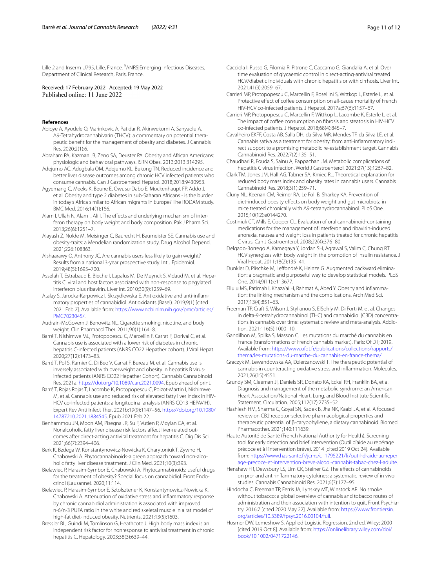Lille 2 and Inserm U795, Lille, France. <sup>9</sup> ANRS|Emerging Infectious Diseases, Department of Clinical Research, Paris, France.

Received: 17 February 2022 Accepted: 19 May 2022

#### **References**

- <span id="page-10-18"></span>Abioye A, Ayodele O, Marinkovic A, Patidar R, Akinwekomi A, Sanyaolu A. Δ9-Tetrahydrocannabivarin (THCV): a commentary on potential thera‑ peutic beneft for the management of obesity and diabetes. J Cannabis Res. 2020;2(1):6.
- <span id="page-10-32"></span>Abraham PA, Kazman JB, Zeno SA, Deuster PA. Obesity and African Americans: physiologic and behavioral pathways. ISRN Obes. 2013;2013:314295.
- <span id="page-10-28"></span>Adejumo AC, Adegbala OM, Adejumo KL, Bukong TN. Reduced incidence and better liver disease outcomes among chronic HCV infected patients who consume cannabis. Can J Gastroenterol Hepatol. 2018;2018:9430953.
- <span id="page-10-31"></span>Agyemang C, Meeks K, Beune E, Owusu-Dabo E, Mockenhaupt FP, Addo J, et al. Obesity and type 2 diabetes in sub-Saharan Africans - is the burden in today's Africa similar to African migrants in Europe? The RODAM study. BMC Med. 2016;14(1):166.
- <span id="page-10-33"></span>Alam I, Ullah N, Alam I, Ali I. The effects and underlying mechanism of interferon therapy on body weight and body composition. Pak J Pharm Sci. 2013;26(6):1251–7.
- <span id="page-10-14"></span>Alayash Z, Nolde M, Meisinger C, Baurecht H, Baumeister SE. Cannabis use and obesity-traits: a Mendelian randomization study. Drug Alcohol Depend. 2021;226:108863.
- <span id="page-10-4"></span>Alshaarawy O, Anthony JC. Are cannabis users less likely to gain weight? Results from a national 3-year prospective study. Int J Epidemiol. 2019;48(5):1695–700.
- <span id="page-10-35"></span>Asselah T, Estrabaud E, Bieche I, Lapalus M, De Muynck S, Vidaud M, et al. Hepatitis C: viral and host factors associated with non-response to pegylated interferon plus ribavirin. Liver Int. 2010;30(9):1259–69.
- <span id="page-10-19"></span>Atalay S, Jarocka-Karpowicz I, Skrzydlewska E. Antioxidative and anti-inflammatory properties of cannabidiol. Antioxidants (Basel). 2019;9(1) [cited 2021 Feb 2]. Available from: [https://www.ncbi.nlm.nih.gov/pmc/articles/](https://www.ncbi.nlm.nih.gov/pmc/articles/PMC7023045/) [PMC7023045/.](https://www.ncbi.nlm.nih.gov/pmc/articles/PMC7023045/)
- <span id="page-10-30"></span>Audrain-McGovern J, Benowitz NL. Cigarette smoking, nicotine, and body weight. Clin Pharmacol Ther. 2011;90(1):164–8.
- <span id="page-10-7"></span>Barré T, Nishimwe ML, Protopopescu C, Marcellin F, Carrat F, Dorival C, et al. Cannabis use is associated with a lower risk of diabetes in chronic hepatitis C-infected patients (ANRS CO22 Hepather cohort). J Viral Hepat. 2020;27(12):1473–83.
- <span id="page-10-15"></span>Barré T, Pol S, Ramier C, Di Beo V, Carrat F, Bureau M, et al. Cannabis use is inversely associated with overweight and obesity in hepatitis B virusinfected patients (ANRS CO22 Hepather Cohort). Cannabis Cannabinoid Res. 2021a. <https://doi.org/10.1089/can.2021.0094>. Epub ahead of print.
- <span id="page-10-27"></span>Barré T, Rojas Rojas T, Lacombe K, Protopopescu C, Poizot-Martin I, Nishimwe M, et al. Cannabis use and reduced risk of elevated fatty liver index in HIV-HCV co-infected patients: a longitudinal analysis (ANRS CO13 HEPAVIH). Expert Rev Anti Infect Ther. 2021b;19(9):1147–56. [https://doi.org/10.1080/](https://doi.org/10.1080/14787210.2021.1884545) [14787210.2021.1884545.](https://doi.org/10.1080/14787210.2021.1884545) Epub 2021 Feb 22.
- <span id="page-10-2"></span>Benhammou JN, Moon AM, Pisegna JR, Su F, Vutien P, Moylan CA, et al. Nonalcoholic fatty liver disease risk factors afect liver-related out‑ comes after direct-acting antiviral treatment for hepatitis C. Dig Dis Sci. 2021;66(7):2394–406.
- <span id="page-10-26"></span>Berk K, Bzdega W, Konstantynowicz-Nowicka K, Charytoniuk T, Zywno H, Chabowski A. Phytocannabinoids-a green approach toward non-alcoholic fatty liver disease treatment. J Clin Med. 2021;10(3):393.
- <span id="page-10-17"></span>Bielawiec P, Harasim-Symbor E, Chabowski A. Phytocannabinoids: useful drugs for the treatment of obesity? Special focus on cannabidiol. Front Endocrinol (Lausanne). 2020;11:114.
- <span id="page-10-20"></span>Bielawiec P, Harasim-Symbor E, Sztolsztener K, Konstantynowicz-Nowicka K, Chabowski A. Attenuation of oxidative stress and infammatory response by chronic cannabidiol administration is associated with improved n-6/n-3 PUFA ratio in the white and red skeletal muscle in a rat model of high-fat diet-induced obesity. Nutrients. 2021;13(5):1603.
- <span id="page-10-34"></span>Bressler BL, Guindi M, Tomlinson G, Heathcote J. High body mass index is an independent risk factor for nonresponse to antiviral treatment in chronic hepatitis C. Hepatology. 2003;38(3):639–44.
- <span id="page-10-1"></span>Cacciola I, Russo G, Filomia R, Pitrone C, Caccamo G, Giandalia A, et al. Over time evaluation of glycaemic control in direct-acting-antiviral treated HCV/diabetic individuals with chronic hepatitis or with cirrhosis. Liver Int. 2021;41(9):2059–67.
- <span id="page-10-10"></span>Carrieri MP, Protopopescu C, Marcellin F, Rosellini S, Wittkop L, Esterle L, et al. Protective effect of coffee consumption on all-cause mortality of French HIV-HCV co-infected patients. J Hepatol. 2017a;67(6):1157–67.
- <span id="page-10-9"></span>Carrieri MP, Protopopescu C, Marcellin F, Wittkop L, Lacombe K, Esterle L, et al. The impact of coffee consumption on fibrosis and steatosis in HIV-HCV co-infected patients. J Hepatol. 2018;68(4):845–7.
- <span id="page-10-23"></span>Cavalheiro EKFF, Costa AB, Salla DH, da Silva MR, Mendes TF, da Silva LE, et al. Cannabis sativa as a treatment for obesity: from anti-inflammatory indirect support to a promising metabolic re-establishment target. Cannabis Cannabinoid Res. 2022;7(2):135–51.
- <span id="page-10-0"></span>Chaudhari R, Fouda S, Sainu A, Pappachan JM. Metabolic complications of hepatitis C virus infection. World J Gastroenterol. 2021;27(13):1267–82.
- <span id="page-10-5"></span>Clark TM, Jones JM, Hall AG, Tabner SA, Kmiec RL. Theoretical explanation for reduced body mass index and obesity rates in cannabis users. Cannabis Cannabinoid Res. 2018;3(1):259–71.
- <span id="page-10-16"></span>Cluny NL, Keenan CM, Reimer RA, Le Foll B, Sharkey KA. Prevention of diet-induced obesity efects on body weight and gut microbiota in mice treated chronically with Δ9-tetrahydrocannabinol. PLoS One. 2015;10(12):e0144270.
- <span id="page-10-6"></span>Costiniuk CT, Mills E, Cooper CL. Evaluation of oral cannabinoid-containing medications for the management of interferon and ribavirin-induced anorexia, nausea and weight loss in patients treated for chronic hepatitis C virus. Can J Gastroenterol. 2008;22(4):376–80.
- <span id="page-10-3"></span>Delgado-Borrego A, Kamegaya Y, Jordan SH, Agrawal S, Valim C, Chung RT. HCV synergizes with body weight in the promotion of insulin resistance. J Viral Hepat. 2011;18(2):135–41.
- <span id="page-10-13"></span>Dunkler D, Plischke M, Leffondré K, Heinze G. Augmented backward elimination: a pragmatic and purposeful way to develop statistical models. PLoS One. 2014;9(11):e113677.
- <span id="page-10-24"></span>Ellulu MS, Patimah I, Khaza'ai H, Rahmat A, Abed Y. Obesity and inflammation: the linking mechanism and the complications. Arch Med Sci. 2017;13(4):851–63.
- <span id="page-10-36"></span>Freeman TP, Craft S, Wilson J, Stylianou S, ElSohly M, Di Forti M, et al. Changes in delta-9-tetrahydrocannabinol (THC) and cannabidiol (CBD) concentrations in cannabis over time: systematic review and meta-analysis. Addiction. 2021;116(5):1000–10.
- <span id="page-10-37"></span>Gandilhon M, Spilka S, Masson C. Les mutations du marché du cannabis en France (transformations of French cannabis market). Paris: OFDT; 2019. Available from: [https://www.ofdt.fr/publications/collections/rapports/](https://www.ofdt.fr/publications/collections/rapports/thema/les-mutations-du-marche-du-cannabis-en-france-thema/) [thema/les-mutations-du-marche-du-cannabis-en-france-thema/](https://www.ofdt.fr/publications/collections/rapports/thema/les-mutations-du-marche-du-cannabis-en-france-thema/).
- <span id="page-10-22"></span>Graczyk M, Lewandowska AA, Dzierżanowski T. The therapeutic potential of cannabis in counteracting oxidative stress and infammation. Molecules. 2021;26(15):4551.
- <span id="page-10-8"></span>Grundy SM, Cleeman JI, Daniels SR, Donato KA, Eckel RH, Franklin BA, et al. Diagnosis and management of the metabolic syndrome: an American Heart Association/National Heart, Lung, and Blood Institute Scientifc Statement. Circulation. 2005;112(17):2735–52.
- <span id="page-10-25"></span>Hashiesh HM, Sharma C, Goyal SN, Sadek B, Jha NK, Kaabi JA, et al. A focused review on CB2 receptor-selective pharmacological properties and therapeutic potential of β-caryophyllene, a dietary cannabinoid. Biomed Pharmacother. 2021;140:111639.
- <span id="page-10-11"></span>Haute Autorité de Santé (French National Authority for Health). Screening tool for early detection and brief intervention (Outil d'aide au repérage précoce et à l'intervention brève). 2014 [cited 2019 Oct 24]. Available from: [https://www.has-sante.fr/jcms/c\\_1795221/fr/outil-d-aide-au-reper](https://www.has-sante.fr/jcms/c_1795221/fr/outil-d-aide-au-reperage-precoce-et-intervention-breve-alcool-cannabis-tabac-chez-l-adulte) [age-precoce-et-intervention-breve-alcool-cannabis-tabac-chez-l-adulte.](https://www.has-sante.fr/jcms/c_1795221/fr/outil-d-aide-au-reperage-precoce-et-intervention-breve-alcool-cannabis-tabac-chez-l-adulte)
- <span id="page-10-21"></span>Henshaw FR, Dewsbury LS, Lim CK, Steiner GZ. The effects of cannabinoids on pro- and anti-infammatory cytokines: a systematic review of in vivo studies. Cannabis Cannabinoid Res. 2021;6(3):177–95.
- <span id="page-10-29"></span>Hindocha C, Freeman TP, Ferris JA, Lynskey MT, Winstock AR. No smoke without tobacco: a global overview of cannabis and tobacco routes of administration and their association with intention to quit. Front Psychiatry. 2016;7 [cited 2020 May 22]. Available from: [https://www.frontiersin.](https://www.frontiersin.org/articles/10.3389/fpsyt.2016.00104/full) [org/articles/10.3389/fpsyt.2016.00104/full.](https://www.frontiersin.org/articles/10.3389/fpsyt.2016.00104/full)
- <span id="page-10-12"></span>Hosmer DW, Lemeshow S. Applied Logistic Regression. 2nd ed. Wiley; 2000 [cited 2019 Oct 8]. Available from: [https://onlinelibrary.wiley.com/doi/](https://onlinelibrary.wiley.com/doi/book/10.1002/0471722146) [book/10.1002/0471722146](https://onlinelibrary.wiley.com/doi/book/10.1002/0471722146).